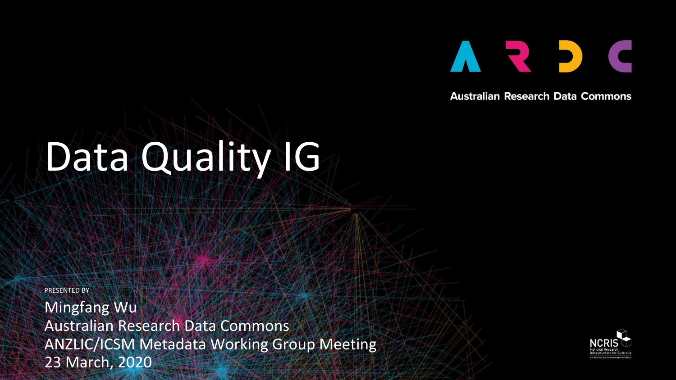

**Australian Research Data Commons** 

# Data Quality IG

PRESENTED BY

Mingfang Wu Australian Research Data Commons ANZLIC/ICSM Metadata Working Group Meeting 23 March, 2020

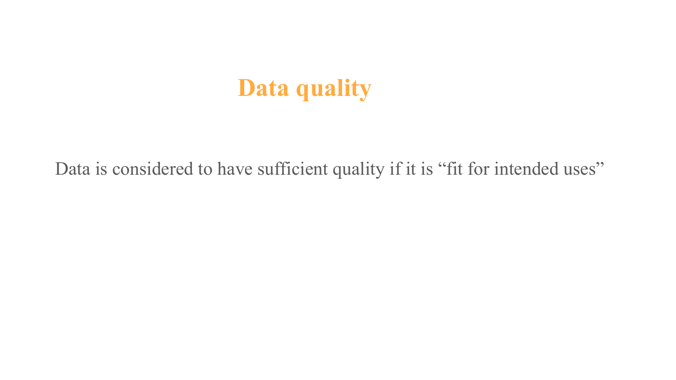# **Data quality**

Data is considered to have sufficient quality if it is "fit for intended uses"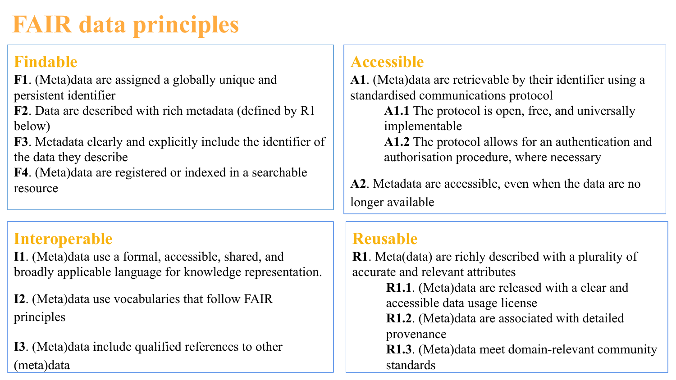# **FAIR data principles**

#### **Findable**

**F1**[. \(Meta\)data are assigned a globally unique and](https://www.go-fair.org/fair-principles/fair-data-principles-explained/f1-meta-data-assigned-globally-unique-persistent-identifiers/)  [persistent identifier](https://www.go-fair.org/fair-principles/fair-data-principles-explained/f1-meta-data-assigned-globally-unique-persistent-identifiers/)

**F2**[. Data are described with rich metadata \(defined by R1](https://www.go-fair.org/fair-principles/fair-data-principles-explained/f2-data-described-rich-metadata/)  [below\)](https://www.go-fair.org/fair-principles/fair-data-principles-explained/f2-data-described-rich-metadata/)

**F3**[. Metadata clearly and explicitly include the identifier of](https://www.go-fair.org/fair-principles/f3-metadata-clearly-explicitly-include-identifier-data-describe/)  [the data they describe](https://www.go-fair.org/fair-principles/f3-metadata-clearly-explicitly-include-identifier-data-describe/)

**F4**[. \(Meta\)data are registered or indexed in a searchable](https://www.go-fair.org/fair-principles/f4-metadata-registered-indexed-searchable-resource/)  [resource](https://www.go-fair.org/fair-principles/f4-metadata-registered-indexed-searchable-resource/)

#### **Interoperable**

**I1**[. \(Meta\)data use a formal, accessible, shared, and](https://www.go-fair.org/fair-principles/i1-metadata-use-formal-accessible-shared-broadly-applicable-language-knowledge-representation/)  [broadly applicable language for knowledge representation.](https://www.go-fair.org/fair-principles/i1-metadata-use-formal-accessible-shared-broadly-applicable-language-knowledge-representation/)

**I2**[. \(Meta\)data use vocabularies that follow FAIR](https://www.go-fair.org/fair-principles/i2-metadata-use-vocabularies-follow-fair-principles/)  [principles](https://www.go-fair.org/fair-principles/i2-metadata-use-vocabularies-follow-fair-principles/)

**I3**[. \(Meta\)data include qualified references to other](https://www.go-fair.org/fair-principles/i3-metadata-include-qualified-references-metadata/)  [\(meta\)data](https://www.go-fair.org/fair-principles/i3-metadata-include-qualified-references-metadata/)

#### **Accessible**

**A1**[. \(Meta\)data are retrievable by their identifier using a](https://www.go-fair.org/fair-principles/542-2/)  [standardised communications protocol](https://www.go-fair.org/fair-principles/542-2/)

**A1.1** [The protocol is open, free, and universally](https://www.go-fair.org/fair-principles/a1-1-protocol-open-free-universally-implementable/)  [implementable](https://www.go-fair.org/fair-principles/a1-1-protocol-open-free-universally-implementable/)

**A1.2** [The protocol allows for an authentication and](https://www.go-fair.org/fair-principles/a1-2-protocol-allows-authentication-authorisation-required/)  [authorisation procedure, where necessary](https://www.go-fair.org/fair-principles/a1-2-protocol-allows-authentication-authorisation-required/)

**A2**[. Metadata are accessible, even when the data are no](https://www.go-fair.org/fair-principles/a2-metadata-accessible-even-data-no-longer-available/)  [longer available](https://www.go-fair.org/fair-principles/a2-metadata-accessible-even-data-no-longer-available/)

#### **Reusable**

**R1**[. Meta\(data\) are richly described with a plurality of](https://www.go-fair.org/fair-principles/r1-metadata-richly-described-plurality-accurate-relevant-attributes/)  [accurate and relevant attributes](https://www.go-fair.org/fair-principles/r1-metadata-richly-described-plurality-accurate-relevant-attributes/)

**R1.1**[. \(Meta\)data are released with a clear and](https://www.go-fair.org/fair-principles/r1-1-metadata-released-clear-accessible-data-usage-license/)  [accessible data usage license](https://www.go-fair.org/fair-principles/r1-1-metadata-released-clear-accessible-data-usage-license/)

**R1.2**[. \(Meta\)data are associated with detailed](https://www.go-fair.org/fair-principles/r1-2-metadata-associated-detailed-provenance/)  [provenance](https://www.go-fair.org/fair-principles/r1-2-metadata-associated-detailed-provenance/)

**R1.3**[. \(Meta\)data meet domain-relevant community](https://www.go-fair.org/fair-principles/r1-3-metadata-meet-domain-relevant-community-standards/)  [standards](https://www.go-fair.org/fair-principles/r1-3-metadata-meet-domain-relevant-community-standards/)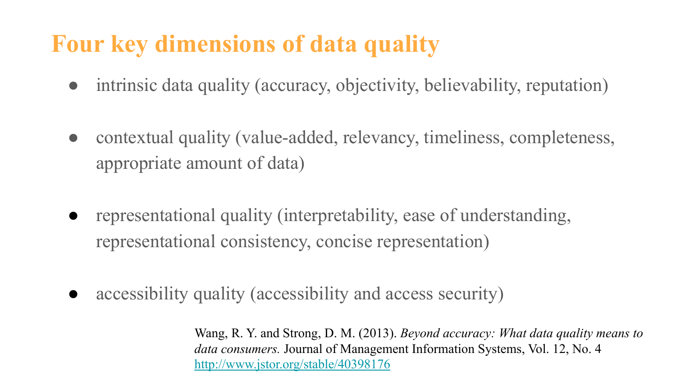## **Four key dimensions of data quality**

- intrinsic data quality (accuracy, objectivity, believability, reputation)
- contextual quality (value-added, relevancy, timeliness, completeness, appropriate amount of data)
- representational quality (interpretability, ease of understanding, representational consistency, concise representation)
- accessibility quality (accessibility and access security)

Wang, R. Y. and Strong, D. M. (2013). *Beyond accuracy: What data quality means to data consumers.* Journal of Management Information Systems, Vol. 12, No. 4 <http://www.jstor.org/stable/40398176>